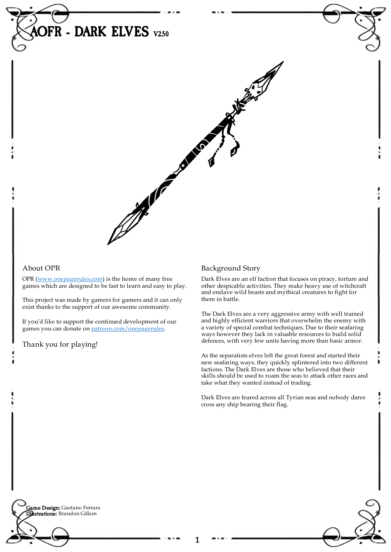

#### About OPR

OPR [\(www.onepagerules.com](https://webapp.onepagerules.com/army-books/view/IKT625BeGZtF67EA~6/https//www.onepagerules.com)) is the home of many free games which are designed to be fast to learn and easy to play.

This project was made by gamers for gamers and it can only exist thanks to the support of our awesome community.

If you'd like to support the continued development of our games you can donate on [patreon.com/onepagerules](https://www.patreon.com/onepagerules).

Thank you for playing!

### Background Story

Dark Elves are an elf faction that focuses on piracy, torture and other despicable activities. They make heavy use of witchcraft and enslave wild beasts and mythical creatures to fight for them in battle.

The Dark Elves are a very aggressive army with well trained and highly efficient warriors that overwhelm the enemy with a variety of special combat techniques. Due to their seafaring ways however they lack in valuable resources to build solid defences, with very few units having more than basic armor.

As the separatists elves left the great forest and started their new seafaring ways, they quickly splintered into two different factions. The Dark Elves are those who believed that their skills should be used to roam the seas to attack other races and take what they wanted instead of trading.

Dark Elves are feared across all Tyrian seas and nobody dares cross any ship bearing their flag.

**Game Design:** Gaetano Ferrara Illustrations: Brandon Gillam

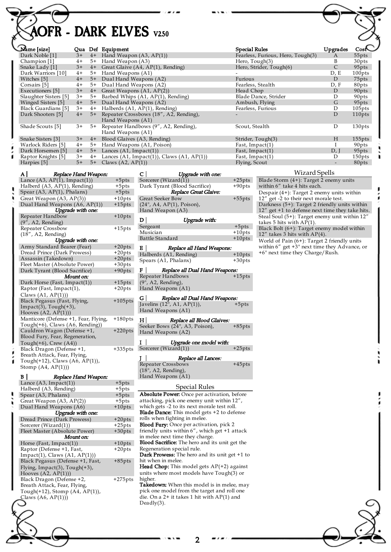# AOFR - DARK ELVES V250

|  | Name [size]           |      |      | Qua Def Equipment                                              | Special Rules                     | Upgrades     | Cos <sup>2</sup> |
|--|-----------------------|------|------|----------------------------------------------------------------|-----------------------------------|--------------|------------------|
|  | Dark Noble [1]        | $3+$ |      | $4+$ Hand Weapon $(A3, AP(1))$                                 | Fearless, Furious, Hero, Tough(3) | A            | 55pts            |
|  | Champion [1]          | $4+$ |      | 5+ Hand Weapon (A3)                                            | Hero, Tough(3)                    | B            | 30pts            |
|  | Snake Lady [1]        | $3+$ |      | 4+ Great Glaive (A4, AP(1), Rending)                           | Hero, Strider, Tough(6)           | $\mathsf{C}$ | 95pts            |
|  | Dark Warriors [10]    | $4+$ |      | 5+ Hand Weapons (A1)                                           |                                   | D, E         | $100$ pts        |
|  | Witches [5]           | $4+$ |      | 5+ Dual Hand Weapons (A2)                                      | Furious                           | D            | 75pts            |
|  | Corsairs [5]          | $4+$ |      | 5+ Dual Hand Weapons (A2)                                      | Fearless, Stealth                 | D, F         | 80pts            |
|  | Executioners [5]      | $3+$ |      | $4+$ Great Weapons $(A1, AP(2))$                               | Head Chop                         | D            | 90pts            |
|  | Slaughter Sisters [5] | $3+$ |      | 5+ Barbed Whips (A1, AP(1), Rending)                           | Blade Dance, Strider              | D            | 90pts            |
|  | Winged Sisters [5]    | $4+$ | $5+$ | Dual Hand Weapons (A2)                                         | Ambush, Flying                    | G            | 95pts            |
|  | Black Guardians [5]   | $3+$ | $4+$ | Halberds (A1, AP(1), Rending)                                  | Fearless, Furious                 | D            | $105$ pts        |
|  | Dark Shooters [5]     | $4+$ |      | 5+ Repeater Crossbows (18", A2, Rending),<br>Hand Weapons (A1) |                                   | D            | 110pts           |
|  | Shade Scouts [5]      | $3+$ | $5+$ | Repeater Handbows (9", A2, Rending),<br>Hand Weapons (A1)      | Scout, Stealth                    | D            | 130pts           |
|  | Snake Sisters [3]     | $3+$ | $4+$ | Blood Glaives (A3, Rending)                                    | Strider, Tough(3)                 | H            | $155$ pts        |
|  | Warlock Riders [5]    | $4+$ | $5+$ | Hand Weapons (A1, Poison)                                      | Fast, Impact(1)                   |              | 90pts            |
|  | Dark Horsemen [5]     | $4+$ |      | $5+$ Lances (A1, Impact(1))                                    | Fast, Impact(1)                   | D, I         | 95pts            |
|  | Raptor Knights [5]    | $3+$ | $4+$ | Lances $(A1, Impact(1))$ , Claws $(A1, AP(1))$                 | Fast, Impact(1)                   | D            | 150pts           |
|  | Harpies [5]           | $5+$ | $5+$ | Claws $(A2, AP(1))$                                            | Flying, Scout                     |              | 80pts            |
|  |                       |      |      |                                                                |                                   |              |                  |

| Replace Hand Weapon:<br>AI            |            |  |  |  |  |  |
|---------------------------------------|------------|--|--|--|--|--|
| Lance $(A3, AP(1), Impact(1))$        | $+5pts$    |  |  |  |  |  |
| Halberd (A3, AP(1), Rending)          | $+5pts$    |  |  |  |  |  |
| Spear (A3, AP(1), Phalanx)            | $+5pts$    |  |  |  |  |  |
| Great Weapon (A3, AP(3))              | $+10$ pts  |  |  |  |  |  |
| Dual Hand Weapons (A6, AP(1))         | $+15$ pts  |  |  |  |  |  |
| Upgrade with one:                     |            |  |  |  |  |  |
| Repeater Handbow                      | $+10$ pts  |  |  |  |  |  |
| $(9''$ , A2, Rending)                 |            |  |  |  |  |  |
| Repeater Crossbow                     | $+15$ pts  |  |  |  |  |  |
| $(18"$ , A2, Rending)                 |            |  |  |  |  |  |
| Upgrade with one:                     |            |  |  |  |  |  |
| Army Standard Bearer (Fear)           | $+20pts$   |  |  |  |  |  |
| Dread Prince (Dark Prowess)           | $+20pts$   |  |  |  |  |  |
| Assassin (Takedown)                   | $+20pts$   |  |  |  |  |  |
| Fleet Master (Absolute Power)         | $+30$ pts  |  |  |  |  |  |
| Dark Tyrant (Blood Sacrifice)         | $+90$ pts  |  |  |  |  |  |
| Mount on:                             |            |  |  |  |  |  |
| Dark Horse (Fast, Impact(1))          | $+15$ pts  |  |  |  |  |  |
| Raptor (Fast, Impact(1),              | $+20$ pts  |  |  |  |  |  |
| Claws $(A1, AP(1))$                   |            |  |  |  |  |  |
| Black Pegasus (Fast, Flying,          | $+105$ pts |  |  |  |  |  |
| $Impack(3)$ , $Tough(+3)$ ,           |            |  |  |  |  |  |
| Hooves $(A2, AP(1))$                  |            |  |  |  |  |  |
| Manticore (Defense +1, Fear, Flying,  | $+180$ pts |  |  |  |  |  |
| Tough(+6), Claws (A6, Rending))       |            |  |  |  |  |  |
| Cauldron Wagon (Defense +1,           | $+220$ pts |  |  |  |  |  |
| Blood Fury, Fear, Regeneration,       |            |  |  |  |  |  |
| Tough $(+6)$ , Crew $(A4)$ )          |            |  |  |  |  |  |
| Black Dragon (Defense +1,             | $+335$ pts |  |  |  |  |  |
| Breath Attack, Fear, Flying,          |            |  |  |  |  |  |
| Tough $(+12)$ , Claws $(A6, AP(1))$ , |            |  |  |  |  |  |
| Stomp $(A4, AP(1))$                   |            |  |  |  |  |  |
| $\mathbf{B}$<br>Replace Hand Weapon:  |            |  |  |  |  |  |
| Lance $(A3, Impact(1))$               | $+5pts$    |  |  |  |  |  |
| Halberd (A3, Rending)                 | $+5pts$    |  |  |  |  |  |
| Spear (A3, Phalanx)                   | $+5$ pts   |  |  |  |  |  |
|                                       |            |  |  |  |  |  |

| Spear (A3, Phalanx)                   | $+5$ pts   |  |  |  |  |  |
|---------------------------------------|------------|--|--|--|--|--|
| Great Weapon $(A3, AP(2))$            | $+5$ pts   |  |  |  |  |  |
| Dual Hand Weapons (A6)                | $+10$ pts  |  |  |  |  |  |
| Upgrade with one:                     |            |  |  |  |  |  |
| Dread Prince (Dark Prowess)           | $+20pts$   |  |  |  |  |  |
| Sorcerer (Wizard(1))                  | $+25$ pts  |  |  |  |  |  |
| Fleet Master (Absolute Power)         | $+30$ pts  |  |  |  |  |  |
| Mount on:                             |            |  |  |  |  |  |
| Horse (Fast, Impact(1))               | $+10$ pts  |  |  |  |  |  |
| Raptor (Defense +1, Fast,             | $+20pts$   |  |  |  |  |  |
| $Impack(1)$ , Claws $(A1, AP(1))$     |            |  |  |  |  |  |
| Black Pegasus (Defense +1, Fast,      | $+85$ pts  |  |  |  |  |  |
| Flying, Impact(3), $Tough(+3)$ ,      |            |  |  |  |  |  |
| Hooves $(A2, AP(1))$                  |            |  |  |  |  |  |
| Black Dragon (Defense +2,             | $+275$ pts |  |  |  |  |  |
| Breath Attack, Fear, Flying,          |            |  |  |  |  |  |
| Tough $(+12)$ , Stomp $(A4, AP(1))$ , |            |  |  |  |  |  |
| Claws $(A6, AP(1)))$                  |            |  |  |  |  |  |
|                                       |            |  |  |  |  |  |

| (1))                                                                                                                                           | Flying,   |  |  |  |
|------------------------------------------------------------------------------------------------------------------------------------------------|-----------|--|--|--|
| c                                                                                                                                              |           |  |  |  |
| Upgrade with one:<br>Sorcerer $(Wizard(1))$                                                                                                    | $+25pts$  |  |  |  |
|                                                                                                                                                | $+90$ pts |  |  |  |
| Dark Tyrant (Blood Sacrifice)<br>Replace Great Glaive:                                                                                         |           |  |  |  |
| Great Seeker Bow<br>(24", A4, AP(1), Poison),<br>Hand Weapon (A3)                                                                              | $+55$ pts |  |  |  |
| D  <br>Upgrade with:                                                                                                                           |           |  |  |  |
| Sergeant                                                                                                                                       | $+5pts$   |  |  |  |
| Musician                                                                                                                                       | $+10$ pts |  |  |  |
| Battle Standard                                                                                                                                | $+10$ pts |  |  |  |
| ЕΙ<br>Replace all Hand Weapons:                                                                                                                |           |  |  |  |
| Halberds (A1, Rending)                                                                                                                         | $+10$ pts |  |  |  |
| Spears (A1, Phalanx)                                                                                                                           | +30pts    |  |  |  |
| FІ<br>Replace all Dual Hand Weapons:                                                                                                           |           |  |  |  |
| Repeater Handbows<br>(9", A2, Rending),<br>Hand Weapons (A1)                                                                                   | $+15$ pts |  |  |  |
| GI<br>Replace all Dual Hand Weapons:                                                                                                           |           |  |  |  |
| Javelins $(12^{\bar{}}$ , A1, AP $(1)$ ),<br>Hand Weapons (A1)                                                                                 | $+5pts$   |  |  |  |
| нļ<br>Replace all Blood Glaives:                                                                                                               |           |  |  |  |
| Seeker Bows (24", A3, Poison),<br>Hand Weapons (A2)                                                                                            | $+85$ pts |  |  |  |
| I<br>Ι<br>Upgrade one model with:                                                                                                              |           |  |  |  |
| Sorcerer (Wizard(1))                                                                                                                           | $+25$ pts |  |  |  |
| JΙ<br>Replace all Lances:                                                                                                                      |           |  |  |  |
| Repeater Crossbows                                                                                                                             | $+45$ pts |  |  |  |
| (18", A2, Rending),<br>Hand Weapons (A1)                                                                                                       |           |  |  |  |
| Special Rules                                                                                                                                  |           |  |  |  |
| Absolute Power: Once per activation, before                                                                                                    |           |  |  |  |
| attacking, pick one enemy unit within 12",<br>which gets -2 to its next morale test roll.<br><b>Blade Dance:</b> This model gets +2 to defense |           |  |  |  |
| rolls when fighting in melee.<br>Blood Fury: Once per activation, pick 2                                                                       |           |  |  |  |
| friendly units within 6", which get +1 attack                                                                                                  |           |  |  |  |
| in melee next time they charge.<br><b>Blood Sacrifice:</b> The hero and its unit get the                                                       |           |  |  |  |
| Regeneration special rule.                                                                                                                     |           |  |  |  |
| Dark Prowess: The hero and its unit get +1 to                                                                                                  |           |  |  |  |
| hit when in melee.<br>Head Chop: This model gets AP(+2) against                                                                                |           |  |  |  |
| units where most models have Tough(3) or                                                                                                       |           |  |  |  |

higher. Takedown: When this model is in melee, may pick one model from the target and roll one die. On a 2+ it takes 1 hit with AP(1) and Deadly(3).

| Fearless, Furious, Hero, Tough(3)              | А    | 55pts            |
|------------------------------------------------|------|------------------|
| Hero, Tough(3)                                 | B    | 30pts            |
| Hero, Strider, Tough(6)                        | C    | 95pts            |
|                                                | D, E | 100pts           |
| Furious                                        | D    | 75pts            |
| Fearless, Stealth                              | D, F | 80pts            |
| Head Chop                                      | D    | 90pts            |
| Blade Dance, Strider                           | D    | 90pts            |
| Ambush, Flying                                 | G    | 95pts            |
| Fearless, Furious                              | D    | $105$ pts        |
|                                                | D    | 110pts           |
| Scout, Stealth                                 | D    | 130pts           |
| Strider, Tough(3)                              | H    | $155$ pts        |
| Fast, Impact(1)                                | I    | 90pts            |
| Fast, Impact(1)                                | D, J | 95pts            |
| Fast, Impact(1)                                | D    | 150pts           |
| $\Gamma$ <sub>r</sub> $\Gamma$ <sub>2011</sub> |      | 00 <sub>12</sub> |

#### Wizard Spells

Blade Storm (4+): Target 2 enemy units within 6" take 4 hits each. Despair (4+): Target 2 enemy units within 12" get -2 to their next morale test. Darkness (5+): Target 2 friendly units within 12" get +1 to defense next time they take hits. Steal Soul (5+): Target enemy unit within 12" takes 5 hits with  $AP(1)$ . Black Bolt (6+): Target enemy model within 12" takes 3 hits with AP(4). World of Pain (6+): Target 2 friendly units within 6" get +3" next time they Advance, or +6" next time they Charge/Rush.

2